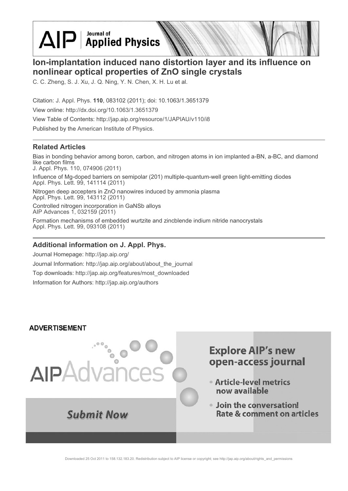$\Delta$ IP Applied Physics

## **Ion-implantation induced nano distortion layer and its influence on nonlinear optical properties of ZnO single crystals**

C. C. Zheng, S. J. Xu, J. Q. Ning, Y. N. Chen, X. H. Lu et al.

Citation: J. Appl. Phys. **110**, 083102 (2011); doi: 10.1063/1.3651379 View online: http://dx.doi.org/10.1063/1.3651379 View Table of Contents: http://jap.aip.org/resource/1/JAPIAU/v110/i8 Published by the American Institute of Physics.

## **Related Articles**

Bias in bonding behavior among boron, carbon, and nitrogen atoms in ion implanted a-BN, a-BC, and diamond like carbon films J. Appl. Phys. 110, 074906 (2011)

Influence of Mg-doped barriers on semipolar (201) multiple-quantum-well green light-emitting diodes Appl. Phys. Lett. 99, 141114 (2011)

Nitrogen deep accepters in ZnO nanowires induced by ammonia plasma Appl. Phys. Lett. 99, 143112 (2011)

Controlled nitrogen incorporation in GaNSb alloys AIP Advances 1, 032159 (2011)

Formation mechanisms of embedded wurtzite and zincblende indium nitride nanocrystals Appl. Phys. Lett. 99, 093108 (2011)

## **Additional information on J. Appl. Phys.**

Journal Homepage: http://jap.aip.org/ Journal Information: http://jap.aip.org/about/about\_the\_journal Top downloads: http://jap.aip.org/features/most\_downloaded Information for Authors: http://jap.aip.org/authors

### **ADVERTISEMENT**



# **Explore AIP's new** open-access journal

- Article-level metrics now available
- · Join the conversation! Rate & comment on articles

Downloaded 25 Oct 2011 to 158.132.183.20. Redistribution subject to AIP license or copyright; see http://jap.aip.org/about/rights\_and\_permissions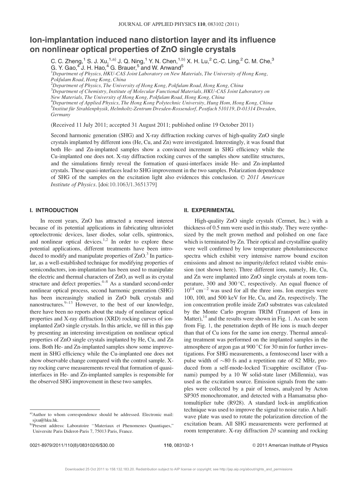## Ion-implantation induced nano distortion layer and its influence on nonlinear optical properties of ZnO single crystals

C. C. Zheng,<sup>1</sup> S. J. Xu,<sup>1,a)</sup> J. Q. Ning,<sup>1</sup> Y. N. Chen,<sup>1,b)</sup> X. H. Lu,<sup>2</sup> C.-C. Ling,<sup>2</sup> C. M. Che,<sup>3</sup> G. Y. Gao, $4\,$ J. H. Hao, $4\,$ G. Brauer, $5\,$ and W. Anwand $5\,$ 

<sup>1</sup>Department of Physics, HKU-CAS Joint Laboratory on New Materials, The University of Hong Kong, Pokfulam Road, Hong Kong, China

 $^{2}$ Department of Physics, The University of Hong Kong, Pokfulam Road, Hong Kong, China  $^3$ Department of Chemistry, Institute of Molecular Functional Materials, HKU-CAS Joint Laboratory on New Materials, The University of Hong Kong, Pokfulam Road, Hong Kong, China <sup>4</sup>Department of Applied Physics, The Hong Kong Polytechnic University, Hung Hom, Hong Kong, China 5<br>Institut für Strahlenphysik, Helmholtz-Zentrum Dresden-Rossendorf, Postfach 510119, D-01314 Dresden, Germany

(Received 11 July 2011; accepted 31 August 2011; published online 19 October 2011)

Second harmonic generation (SHG) and X-ray diffraction rocking curves of high-quality ZnO single crystals implanted by different ions (He, Cu, and Zn) were investigated. Interestingly, it was found that both He- and Zn-implanted samples show a convinced increment in SHG efficiency while the Cu-implanted one does not. X-ray diffraction rocking curves of the samples show satellite structures, and the simulations firmly reveal the formation of quasi-interfaces inside He- and Zn-implanted crystals. These quasi-interfaces lead to SHG improvement in the two samples. Polarization dependence of SHG of the samples on the excitation light also evidences this conclusion.  $\odot$  2011 American Institute of Physics. [doi:10.1063/1.3651379]

#### I. INTRODUCTION

In recent years, ZnO has attracted a renewed interest because of its potential applications in fabricating ultraviolet optoelectronic devices, laser diodes, solar cells, spintronics, and nonlinear optical devices.<sup>1,2</sup> In order to explore these potential applications, different treatments have been introduced to modify and manipulate properties of  $ZnO<sup>3</sup>$  In particular, as a well-established technique for modifying properties of semiconductors, ion-implantation has been used to manipulate the electric and thermal characters of ZnO, as well as its crystal structure and defect properties. $4-8$  As a standard second-order nonlinear optical process, second harmonic generation (SHG) has been increasingly studied in ZnO bulk crystals and nanostructures. $9-13$  However, to the best of our knowledge, there have been no reports about the study of nonlinear optical properties and X-ray diffraction (XRD) rocking curves of ionimplanted ZnO single crystals. In this article, we fill in this gap by presenting an interesting investigation on nonlinear optical properties of ZnO single crystals implanted by He, Cu, and Zn ions. Both He- and Zn-implanted samples show some improvement in SHG efficiency while the Cu-implanted one does not show observable change compared with the control sample. Xray rocking curve measurements reveal that formation of quasiinterfaces in He- and Zn-implanted samples is responsible for the observed SHG improvement in these two samples.

#### II. EXPERIMENTAL

High-quality ZnO single crystals (Cermet, Inc.) with a thickness of 0.5 mm were used in this study. They were synthesized by the melt grown method and polished on one face which is terminated by Zn. Their optical and crystalline quality were well confirmed by low temperature photoluminescence spectra which exhibit very intensive narrow bound exciton emissions and almost no impurity/defect related visible emission (not shown here). Three different ions, namely, He, Cu, and Zn were implanted into ZnO single crystals at room temperature, 300 and 300 $^{\circ}$ C, respectively. An equal fluence of  $10^{14}$  cm<sup>-2</sup> was used for all the three ions. Ion energies were 100, 100, and 500 keV for He, Cu, and Zn, respectively. The ion concentration profile inside ZnO substrates was calculated by the Monte Carlo program TRIM (Transport of Ions in Matter),  $^{14}$  and the results were shown in Fig. 1. As can be seen from Fig. 1, the penetration depth of He ions is much deeper than that of Cu ions for the same ion energy. Thermal annealing treatment was performed on the implanted samples in the atmosphere of argon gas at  $900\,^{\circ}$ C for 30 min for further investigations. For SHG measurements, a femtosecond laser with a pulse width of  $\sim 80$  fs and a repetition rate of 82 MHz, produced from a self-mode-locked Ti:sapphire oscillator (Tsunami) pumped by a 10 W solid-state laser (Millennia), was used as the excitation source. Emission signals from the samples were collected by a pair of lenses, analyzed by Acton SP305 monochromator, and detected with a Hamamatsu photomultiplier tube (R928). A standard lock-in amplification technique was used to improve the signal to noise ratio. A halfwave plate was used to rotate the polarization direction of the excitation beam. All SHG measurements were performed at room temperature. X-ray diffraction  $2\theta$  scanning and rocking

a)Author to whom correspondence should be addressed. Electronic mail: sjxu@hku.hk.

<sup>&</sup>lt;sup>b)</sup>Present address: Laboratoire "Materiaux et Phenomenes Quantiques," Universite Paris Diderot-Paris 7, 75013 Paris, France.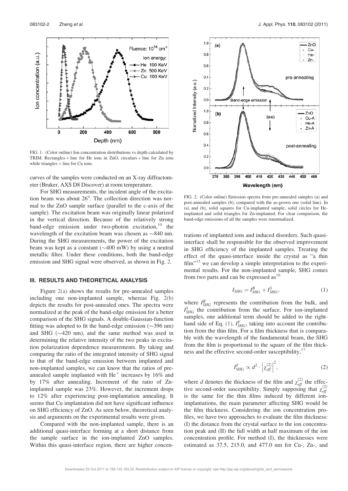

FIG. 1. (Color online) Ion concentration distributions vs depth calculated by TRIM. Rectangles  $+$  line for He ions in ZnO, circulars  $+$  line for Zn ions while triangles  $+$  line for Cu ions.

curves of the samples were conducted on an X-ray diffractometer (Bruker, AXS D8 Discover) at room temperature.

For SHG measurements, the incident angle of the excitation beam was about 26°. The collection direction was normal to the ZnO sample surface (parallel to the c-axis of the sample). The excitation beam was originally linear polarized in the vertical direction. Because of the relatively strong band-edge emission under two-photon excitation,<sup>10</sup> the wavelength of the excitation beam was chosen as  $\sim 840$  nm. During the SHG measurements, the power of the excitation beam was kept as a constant ( $\sim$ 400 mW) by using a neutral metallic filter. Under these conditions, both the band-edge emission and SHG signal were observed, as shown in Fig. 2.

#### III. RESULTS AND THEORETICAL ANALYSIS

Figure 2(a) shows the results for pre-annealed samples including one non-implanted sample, whereas Fig. 2(b) depicts the results for post-annealed ones. The spectra were normalized at the peak of the band-edge emission for a better comparison of the SHG signals. A double-Gaussian-function fitting was adopted to fit the band-edge emission  $(\sim 396 \text{ nm})$ and SHG ( $\sim$ 420 nm), and the same method was used in determining the relative intensity of the two peaks in excitation polarization dependence measurements. By taking and comparing the ratio of the integrated intensity of SHG signal to that of the band-edge emission between implanted and non-implanted samples, we can know that the ratios of preannealed sample implanted with  $He<sup>+</sup>$  increases by 16% and by 17% after annealing. Increment of the ratio of Znimplanted sample was 23%. However, the increment drops to 12% after experiencing post-implantation annealing. It seems that Cu implantation did not have significant influence on SHG efficiency of ZnO. As seen below, theoretical analysis and arguments on the experimental results were given.

Compared with the non-implanted sample, there is an additional quasi-interface forming at a short distance from the sample surface in the ion-implanted ZnO samples. Within this quasi-interface region, there are higher concen-



FIG. 2. (Color online) Emission spectra from pre-annealed samples (a) and post-annealed samples (b), compared with the as-grown one (solid line). In (a) and (b), solid squares for Cu-implanted sample, solid circles for Heimplanted and solid triangles for Zn-implanted. For clear comparison, the band-edge emissions of all the samples were renormalized.

trations of implanted ions and induced disorders. Such quasiinterface shall be responsible for the observed improvement in SHG efficiency of the implanted samples. Treating the effect of the quasi-interface inside the crystal as "a thin  $film$ <sup> $15$ </sup> we can develop a simple interpretation to the experimental results. For the non-implanted sample, SHG comes from two parts and can be expressed  $as<sup>16</sup>$ 

$$
I_{SHG} = I_{SHG}^B + I_{SHG}^S,\tag{1}
$$

where  $I_{SHG}^B$  represents the contribution from the bulk, and  $I_{SHG}^S$  the contribution from the surface. For ion-implanted samples, one additional term should be added to the righthand side of Eq. (1),  $I_{SHG}^F$ , taking into account the contribution from the thin film. For a film thickness that is comparable with the wavelength of the fundamental beam, the SHG from the film is proportional to the square of the film thickness and the effective second-order susceptibility, $17$ 

$$
I_{SHG}^F \propto d^2 \cdot \left| \chi_{\text{eff}}^{(2)} \right|^2,\tag{2}
$$

where *d* denotes the thickness of the film and  $\chi_{eff}^{(2)}$  the effective second-order susceptibility. Simply supposing that  $\chi_{eff}^{(2)}$ is the same for the thin films induced by different ionimplantations, the main parameter affecting SHG would be the film thickness. Considering the ion concentration profiles, we have two approaches to evaluate the film thickness: (I) the distance from the crystal surface to the ion concentration peak and (II) the full width at half maximum of the ion concentration profile. For method (I), the thicknesses were estimated as 37.5, 215.0, and 477.0 nm for Cu-, Zn-, and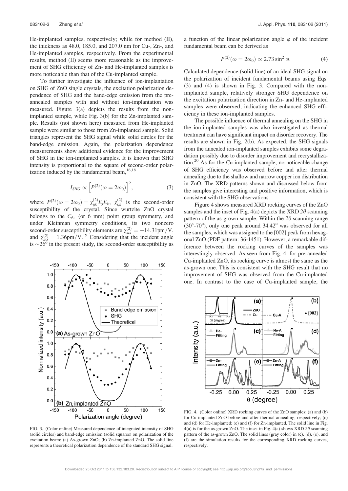He-implanted samples, respectively; while for method (II), the thickness as 48.0, 185.0, and 207.0 nm for Cu-, Zn-, and He-implanted samples, respectively. From the experimental results, method (II) seems more reasonable as the improvement of SHG efficiency of Zn- and He-implanted samples is more noticeable than that of the Cu-implanted sample.

To further investigate the influence of ion-implantation on SHG of ZnO single crystals, the excitation polarization dependence of SHG and the band-edge emission from the preannealed samples with and without ion-implantation was measured. Figure 3(a) depicts the results from the nonimplanted sample, while Fig. 3(b) for the Zn-implanted sample. Results (not shown here) measured from He-implanted sample were similar to those from Zn-implanted sample. Solid triangles represent the SHG signal while solid circles for the band-edge emission. Again, the polarization dependence measurements show additional evidence for the improvement of SHG in the ion-implanted samples. It is known that SHG intensity is proportional to the square of second-order polarization induced by the fundamental beam,  $16,18$ 

$$
I_{SHG} \propto \left[ P^{(2)}(\omega = 2\omega_0) \right]^2, \tag{3}
$$

where  $P^{(2)}(\omega = 2\omega_0) = \chi_{ijk}^{(2)} E_j E_k$ ,  $\chi_{ijk}^{(2)}$  is the second-order susceptibility of the crystal. Since wurtzite ZnO crystal belongs to the  $C_{6v}$  (or 6 mm) point group symmetry, and under Kleinman symmetry conditions, its two nonzero second-order susceptibility elements are  $\chi^{(2)}_{zzz} = -14.31 \text{pm/V}$ , and  $\chi^{(2)}_{zxx} = 1.36 \text{pm}/\text{V}$ .<sup>19</sup> Considering that the incident angle is  $\sim$ 26<sup>o</sup> in the present study, the second-order susceptibility as



FIG. 3. (Color online) Measured dependence of integrated intensity of SHG (solid circles) and band-edge emission (solid squares) on polarization of the excitation beam: (a) As-grown ZnO; (b) Zn-implanted ZnO. The solid line represents a theoretical polarization dependence of the standard SHG signal.

a function of the linear polarization angle  $\varphi$  of the incident fundamental beam can be derived as

$$
P^{(2)}(\omega = 2\omega_0) \propto 2.73 \sin^2 \varphi. \tag{4}
$$

Calculated dependence (solid line) of an ideal SHG signal on the polarization of incident fundamental beams using Eqs. (3) and (4) is shown in Fig. 3. Compared with the nonimplanted sample, relatively stronger SHG dependence on the excitation polarization direction in Zn- and He-implanted samples were observed, indicating the enhanced SHG efficiency in these ion-implanted samples.

The possible influence of thermal annealing on the SHG in the ion-implanted samples was also investigated as thermal treatment can have significant impact on disorder recovery. The results are shown in Fig. 2(b). As expected, the SHG signals from the annealed ion-implanted samples exhibits some degradation possibly due to disorder improvement and recrystallization.20 As for the Cu-implanted sample, no noticeable change of SHG efficiency was observed before and after thermal annealing due to the shallow and narrow copper ion distribution in ZnO. The XRD patterns shown and discussed below from the samples give interesting and positive information, which is consistent with the SHG observations.

Figure 4 shows measured XRD rocking curves of the ZnO samples and the inset of Fig. 4(a) depicts the XRD 2 $\theta$  scanning pattern of the as-grown sample. Within the  $2\theta$  scanning range  $(30^\circ - 70^\circ)$ , only one peak around  $34.42^\circ$  was observed for all the samples, which was assigned to the [002] peak from hexagonal ZnO (PDF pattern: 36-1451). However, a remarkable difference between the rocking curves of the samples was interestingly observed. As seen from Fig. 4, for pre-annealed Cu-implanted ZnO, its rocking curve is almost the same as the as-grown one. This is consistent with the SHG result that no improvement of SHG was observed from the Cu-implanted one. In contrast to the case of Cu-implanted sample, the



FIG. 4. (Color online) XRD rocking curves of the ZnO samples: (a) and (b) for Cu-implanted ZnO before and after thermal annealing, respectively; (c) and (d) for He-implanted; (e) and (f) for Zn-implanted. The solid line in Fig. 4(a) is for the as-grown ZnO. The inset in Fig. 4(a) shows XRD 2 $\theta$  scanning pattern of the as-grown ZnO. The solid lines (gray color) in (c), (d), (e), and (f) are the simulation results for the corresponding XRD rocking curves, respectively.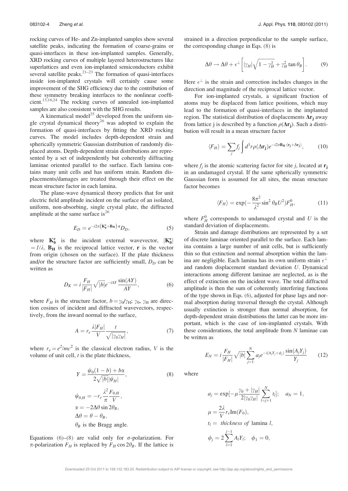rocking curves of He- and Zn-implanted samples show several satellite peaks, indicating the formation of coarse-grains or quasi-interfaces in these ion-implanted samples. Generally, XRD rocking curves of multiple layered heterostructures like superlattices and even ion-implanted semiconductors exhibit several satellite peaks. $2^{1-23}$  The formation of quasi-interfaces inside ion-implanted crystals will certainly cause some improvement of the SHG efficiency due to the contribution of these symmetry breaking interfaces to the nonlinear coefficient.13,16,24 The rocking curves of annealed ion-implanted samples are also consistent with the SHG results.

A kinematical model<sup>25</sup> developed from the uniform single crystal dynamical theory<sup>26</sup> was adopted to explain the formation of quasi-interfaces by fitting the XRD rocking curves. The model includes depth-dependent strain and spherically symmetric Gaussian distribution of randomly displaced atoms. Depth-dependent strain distributions are represented by a set of independently but coherently diffracting laminae oriented parallel to the surface. Each lamina contains many unit cells and has uniform strain. Random displacements/damages are treated through their effect on the mean structure factor in each lamina.

The plane-wave dynamical theory predicts that for unit electric field amplitude incident on the surface of an isolated, uniform, non-absorbing, single crystal plate, the diffracted amplitude at the same surface is<sup>26</sup>

$$
E_D = e^{-i2\pi \left(\mathbf{K}_0^{\text{e}} + \mathbf{B}_H\right) \cdot \mathbf{r}} D_D,\tag{5}
$$

where  $K_0^e$  is the incident external wavevector,  $|K_0^e|$  $= I/\lambda$ ,  $\mathbf{B}_{\mathbf{H}}$  is the reciprocal lattice vector, **r** is the vector from origin (chosen on the surface). If the plate thickness and/or the structure factor are sufficiently small,  $D<sub>D</sub>$  can be written as

$$
D_K = i\frac{F_H}{|F_H|}\sqrt{|b|}e^{-iAY}\frac{\sin(AY)}{AY},\tag{6}
$$

where  $F_H$  is the structure factor,  $b = \gamma_0/\gamma_H$ ;  $\gamma_0$ ,  $\gamma_H$  are direction cosines of incident and diffracted wavevectors, respectively, from the inward normal to the surface,

$$
A = r_e \frac{\lambda |F_H|}{V} \frac{t}{\sqrt{|\gamma_0 \gamma_H|}},\tag{7}
$$

where  $r_e = e^2/mc^2$  is the classical electron radius, V is the volume of unit cell,  $t$  is the plate thickness,

$$
Y = \frac{\psi_0(1-b) + b\alpha}{2\sqrt{|b|}|\psi_H|},
$$
\n
$$
\psi_{0,H} = -r_e \frac{\lambda^2 F_{0,H}}{\pi V},
$$
\n
$$
\alpha = -2\Delta\theta \sin 2\theta_B,
$$
\n
$$
\Delta\theta = \theta - \theta_B,
$$
\n
$$
\theta_B \text{ is the Bragg angle.}
$$
\n(8)

Equations (6)–(8) are valid only for  $\sigma$ -polarization. For  $\pi$ -polarization  $F_H$  is replaced by  $F_H \cos 2\theta_B$ . If the lattice is strained in a direction perpendicular to the sample surface, the corresponding change in Eqs. (8) is

$$
\Delta\theta \to \Delta\theta + \epsilon^{\perp} \left[ |\gamma_H| \sqrt{1 - \gamma_H^2} + \gamma_H^2 \tan \theta_B \right]. \tag{9}
$$

Here  $\epsilon^{\perp}$  is the strain and correction includes changes in the direction and magnitude of the reciprocal lattice vector.

For ion-implanted crystals, a significant fraction of atoms may be displaced from lattice positions, which may lead to the formation of quasi-interfaces in the implanted region. The statistical distribution of displacements  $\Delta r_i$  away from lattice j is described by a function  $\rho(\Delta r_i)$ . Such a distribution will result in a mean structure factor

$$
\langle F_H \rangle = \sum_j f_j \int d^3r \rho (\Delta \mathbf{r_j}) e^{-i2\pi \mathbf{B_H} \cdot (\mathbf{r_j} + \Delta \mathbf{r_j})}, \qquad (10)
$$

where  $f_i$  is the atomic scattering factor for site j, located at  $\mathbf{r}_i$ in an undamaged crystal. If the same spherically symmetric Gaussian form is assumed for all sites, the mean structure factor becomes

$$
\langle F_H \rangle = \exp(-\frac{8\pi^2}{\lambda^2}\sin^2\theta_B U^2)F_H^0,\tag{11}
$$

where  $F_H^0$  corresponds to undamaged crystal and U is the standard deviation of displacements.

Strain and damage distributions are represented by a set of discrete laminae oriented parallel to the surface. Each lamina contains a large number of unit cells, but is sufficiently thin so that extinction and normal absorption within the lamina are negligible. Each lamina has its own uniform strain  $\epsilon^{\perp}$ and random displacement standard deviation U. Dynamical interactions among different laminae are neglected, as is the effect of extinction on the incident wave. The total diffracted amplitude is then the sum of coherently interfering functions of the type shown in Eqs. (6), adjusted for phase lags and normal absorption during traversal through the crystal. Although usually extinction is stronger than normal absorption, for depth-dependent strain distributions the latter can be more important, which is the case of ion-implanted crystals. With these considerations, the total amplitude from N laminae can be written as

$$
E_N = i \frac{F_H}{|F_H|} \sqrt{|b|} \sum_{j=1}^N a_j e^{-i(A_j Y_j + \phi_j)} \frac{\sin(A_j Y_j)}{Y_j}
$$
 (12)

where

$$
a_j = \exp[-\mu \frac{\gamma_0 + |\gamma_H|}{2|\gamma_0 \gamma_H|} \sum_{l=j+1}^N t_l]; \quad a_N = 1,
$$
  
\n
$$
\mu = \frac{2\lambda}{V} r_e \text{Im}(F_0),
$$
  
\n
$$
t_l = \text{ thickness of lamina } l,
$$
  
\n
$$
\phi_j = 2 \sum_{l=1}^{j-1} A_l Y_l; \quad \phi_1 = 0,
$$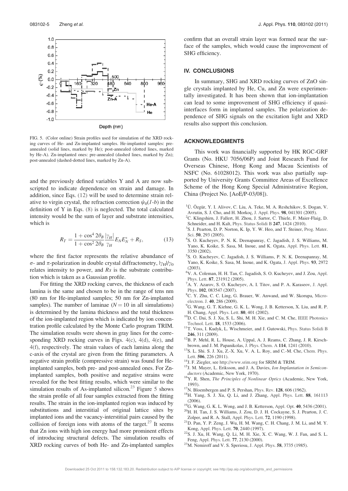

FIG. 5. (Color online) Strain profiles used for simulation of the XRD rocking curves of He- and Zn-implanted samples. He-implanted samples: preannealed (solid lines, marked by He); post-annealed (dotted lines, marked by He-A). Zn-implanted ones: pre-annealed (dashed lines, marked by Zn); post-annealed (dashed-dotted lines, marked by Zn-A).

and the previously defined variables Y and A are now subscripted to indicate dependence on strain and damage. In addition, since Eqs. (12) will be used to determine strain relative to virgin crystal, the refraction correction  $\psi_0(1-b)$  in the definition of Y in Eqs. (8) is neglected. The total calculated intensity would be the sum of layer and substrate intensities, which is

$$
R_T = \frac{1 + \cos^4 2\theta_B}{1 + \cos^2 2\theta_B} \frac{|\gamma_H|}{\gamma_H} E_N E_N^* + R_S,
$$
 (13)

where the first factor represents the relative abundance of  $\sigma$ - and  $\pi$ -polarization in double crystal diffractometry,  $|\gamma_H|/\gamma_0$ relates intensity to power, and  $Rs$  is the substrate contribution which is taken as a Gaussian profile.

For fitting the XRD rocking curves, the thickness of each lamina is the same and chosen to be in the range of tens nm (80 nm for He-implanted samples; 50 nm for Zn-implanted samples). The number of laminae ( $N = 10$  in all simulations) is determined by the lamina thickness and the total thickness of the ion-implanted region which is indicated by ion concentration profile calculated by the Monte Carlo program TRIM. The simulation results were shown in gray lines for the corresponding XRD rocking curves in Figs. 4(c), 4(d), 4(e), and 4(f), respectively. The strain values of each lamina along the c-axis of the crystal are given from the fitting parameters. A negative strain profile (compressive strain) was found for Heimplanted samples, both pre- and post-annealed ones. For Znimplanted samples, both positive and negative strains were revealed for the best fitting results, which were similar to the simulation results of As-implanted silicon.<sup>23</sup> Figure 5 shows the strain profile of all four samples extracted from the fitting results. The strain in the ion-implanted region was induced by substitutions and interstitial of original lattice sites by implanted ions and the vacancy-interstitial pairs caused by the collision of foreign ions with atoms of the target. $27$  It seems that Zn ions with high ion energy had more prominent effects of introducing structural defects. The simulation results of XRD rocking curves of both He- and Zn-implanted samples confirm that an overall strain layer was formed near the surface of the samples, which would cause the improvement of SHG efficiency.

#### IV. CONCLUSIONS

In summary, SHG and XRD rocking curves of ZnO single crystals implanted by He, Cu, and Zn were experimentally investigated. It has been shown that ion-implantation can lead to some improvement of SHG efficiency if quasiinterfaces form in implanted samples. The polarization dependence of SHG signals on the excitation light and XRD results also support this conclusion.

#### ACKNOWLEDGMENTS

This work was financially supported by HK RGC-GRF Grants (No. HKU 7056/06P) and Joint Research Fund for Overseas Chinese, Hong Kong and Macau Scientists of NSFC (No. 61028012). This work was also partially supported by University Grants Committee Areas of Excellence Scheme of the Hong Kong Special Administrative Region, China (Project No. [AoE/P-03/08]).

- <sup>1</sup>Ü. Özgür, Y. I. Alivov, C. Liu, A. Teke, M. A. Reshchikov, S. Dogan, V. Avrutin, S. J. Cho, and H. Morkoç, J. Appl. Phys. 98, 041301 (2005).
- <sup>2</sup>C. Klingshirn, J. Fallert, H. Zhou, J. Sartor, C. Thiele, F. Maier-Flaig, D. Schneider, and H. Kalt, Phys. Status Solidi B 247, 1424 (2010).
- <sup>3</sup>S. J. Pearton, D. P. Norton, K. Ip, Y. W. Heo, and T. Steiner, Prog. Mater. Sci. 50, 293 (2005).
- <sup>4</sup>S. O. Kucheyev, P. N. K. Deenapanray, C. Jagadish, J. S. Williams, M. Yano, K. Koike, S. Sasa, M. Inoue, and K. Ogata, Appl. Phys. Lett. 81, 3350 (2002).
- 5 S. O. Kucheyev, C. Jagadish, J. S. Williams, P. N. K. Deenapanray, M. Yano, K. Koike, S. Sasa, M. Inoue, and K. Ogata, J. Appl. Phys. 93, 2972 (2003).
- 6 V. A. Coleman, H. H. Tan, C. Jagadish, S. O. Kucheyev, and J. Zou, Appl. Phys. Lett. 87, 231912 (2005).
- ${}^{7}$ A. Y. Azarov, S. O. Kucheyev, A. I. Titov, and P. A. Karaseov, J. Appl. Phys. 102, 083547 (2007).
- <sup>8</sup>C. Y. Zhu, C. C. Ling, G. Brauer, W. Anwand, and W. Skorupa, Microelectron. J. 40, 286 (2009).
- <sup>9</sup>G. Wang, G. T. Kiehne, G. K. L. Wong, J. B. Ketterson, X. Liu, and R. P.
- H. Chang, Appl. Phys. Lett. 80, 401 (2002). <sup>10</sup>D. C. Dai, S. J. Xu, S. L. Shi, M. H. Xie, and C. M. Che, IEEE Photonics
- Technol. Lett. 18, 1533 (2006). <sup>11</sup>T. Voss, I. Kudyk, L. Wischmeier, and J. Gutowski, Phys. Status Solidi B
- **246**, 311 (2009).  $12B$ . P. Mehl, R. L. House, A. Uppal, A. J. Reams, C. Zhang, J. R. Kirsch-
- brown, and J. M. Papanikolas, J. Phys. Chem. A 114, 1241 (2010). <sup>13</sup>S. L. Shi. S. J. Xu, Z.-X. Xu, V. A. L. Roy, and C.-M. Che, Chem. Phys.
- 
- Lett. **506**, 226 (2011).<br><sup>14</sup>J. F. Ziegler, see http://www.srim.org for SRIM & TRIM.<br><sup>15</sup>J. M. Mayer, L. Eriksson, and J. A. Davies, *Ion Implantation in Semicon-<br><i>ductors* (Academic, New York, 1970).
- <sup>16</sup>Y. R. Shen, *The Principles of Nonlinear Optics* (Academic, New York,
- 
- 1993).<br><sup>17</sup>N. Bloembergen and P. S. Pershan, Phys. Rev. **128**, 606 (1962).<br><sup>18</sup>H. Yang, S. J. Xu, Q. Li, and J. Zhang, Appl. Phys. Lett. **88**, 161113<br>(2006).
- $^{19}$ G. Wang, G. K. L. Wong, and J. B. Ketterson, Appl. Opt. 40, 5436 (2001).  $^{20}$ H. H. Tan, J. S. Williams, J. Zou, D. J. H. Cockayne, S. J. Pearton, J. C.
- Zolper, and R. A. Stall, Appl. Phys. Lett. <sup>72</sup>, 1190 (1998). 21D. Pan, Y. P. Zeng, J. Wu, H. M. Wang, C. H. Chang, J. M. Li, and M. Y.
- Kong, Appl. Phys. Lett. 70, 2440 (1997).<br><sup>22</sup>S. J. Xu, H. Wang, Q. Li, M. H. Xie, X. C. Wang, W. J. Fan, and S. L. Feng, Appl. Phys. Lett. 77, 2130 (2000).
- $^{23}$ M. Nemiroff and V. S. Speriosu, J. Appl. Phys. **58**, 3735 (1985).